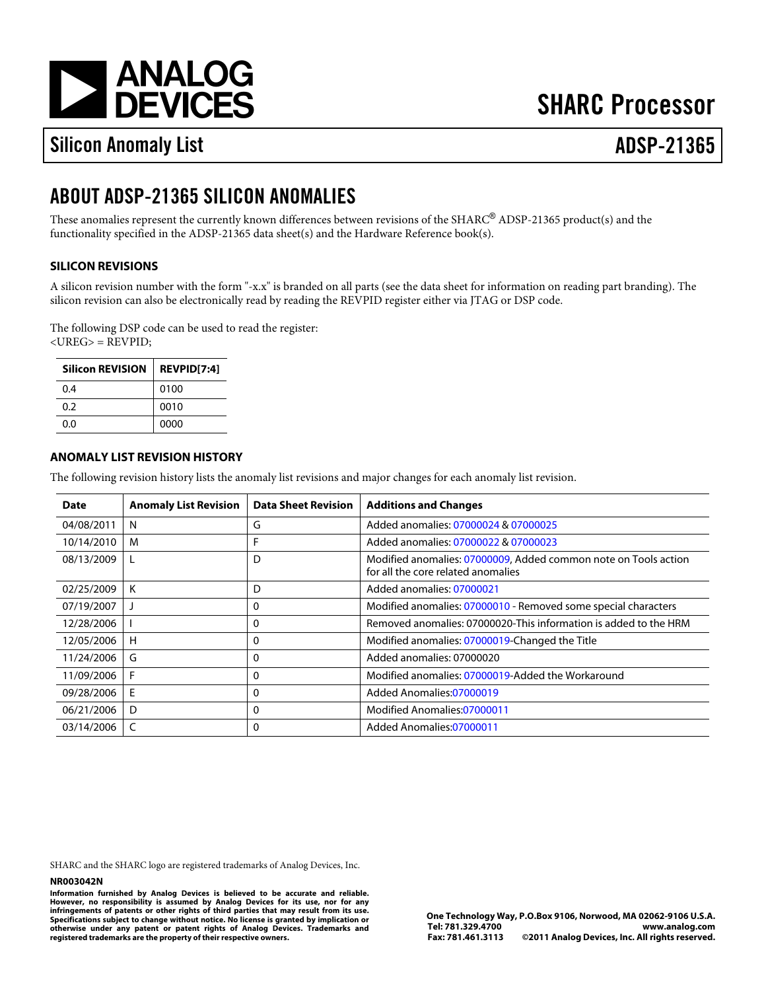[a](http://www.analog.com)

# **SHARC Processor**

# Silicon Anomaly List ADSP-21365

# ABOUT ADSP-21365 SILICON ANOMALIES

These anomalies represent the currently known differences between revisions of the SHARC®ADSP-21365 product(s) and the functionality specified in the ADSP-21365 data sheet(s) and the Hardware Reference book(s).

# SILICON REVISIONS

A silicon revision number with the form "-x.x" is branded on all parts (see the data sheet for information on reading part branding). The silicon revision can also be electronically read by reading the REVPID register either via JTAG or DSP code.

The following DSP code can be used to read the register: <UREG> = REVPID;

| Silicon REVISION REVPID[7:4] |      |
|------------------------------|------|
| 0.4                          | 0100 |
| 0.2                          | 0010 |
| 0.O                          | 0000 |

# ANOMALY LIST REVISION HISTORY

The following revision history lists the anomaly list revisions and major changes for each anomaly list revision.

| Date           | Anomaly List Revision | Data Sheet Revision I | <b>Additions and Changes</b>                                                                       |
|----------------|-----------------------|-----------------------|----------------------------------------------------------------------------------------------------|
| 04/08/2011     | N                     | G                     | Added anomalies07000024&07000025                                                                   |
| 10/14/2010     | м                     | F                     | Added anomalies07000022&07000023                                                                   |
| 08/13/2009     |                       | D                     | Modified anomalies07000009 Added common note on Tools action<br>for all the core related anomalies |
| 02/25/2009   K |                       | D                     | Added anomalies07000021                                                                            |
| 07/19/2007     |                       | 0                     | Modified anomalies07000010- Removed some special characters                                        |
| 12/28/2006     |                       | 0                     | Removed anomalies07000020This information is added to the HRM                                      |
| 12/05/2006   H |                       | 0                     | Modified anomalies07000019Changed the Title                                                        |
| 11/24/2006     | G                     | 0                     | Added anomalies07000020                                                                            |
| 11/09/2006     | F                     | $\Omega$              | Modified anomalies07000019Added the Workaround                                                     |
| 09/28/2006   E |                       | 0                     | Added Anomalies07000019                                                                            |
| 06/21/2006     | D                     | 0                     | Modified Anomalies07000011                                                                         |
| 03/14/2006     | C                     | 0                     | Added Anomalies07000011                                                                            |

SHARC and the SHARC logo are registered trademarks of Analog Devices, Inc.

#### NR003042N

Information furnished by Analog Devices is believed to be accurate and reliable. However, no responsibility is assumed by Analog Devices for its use, nor for any infringements of patents or other rights of third parties that may result from its use. Specifications subject to change without notice. No license is granted by implication or otherwise under any patent or patent rights of Analog Devices. Trademarks and registered trademarks are the property of their respective owners.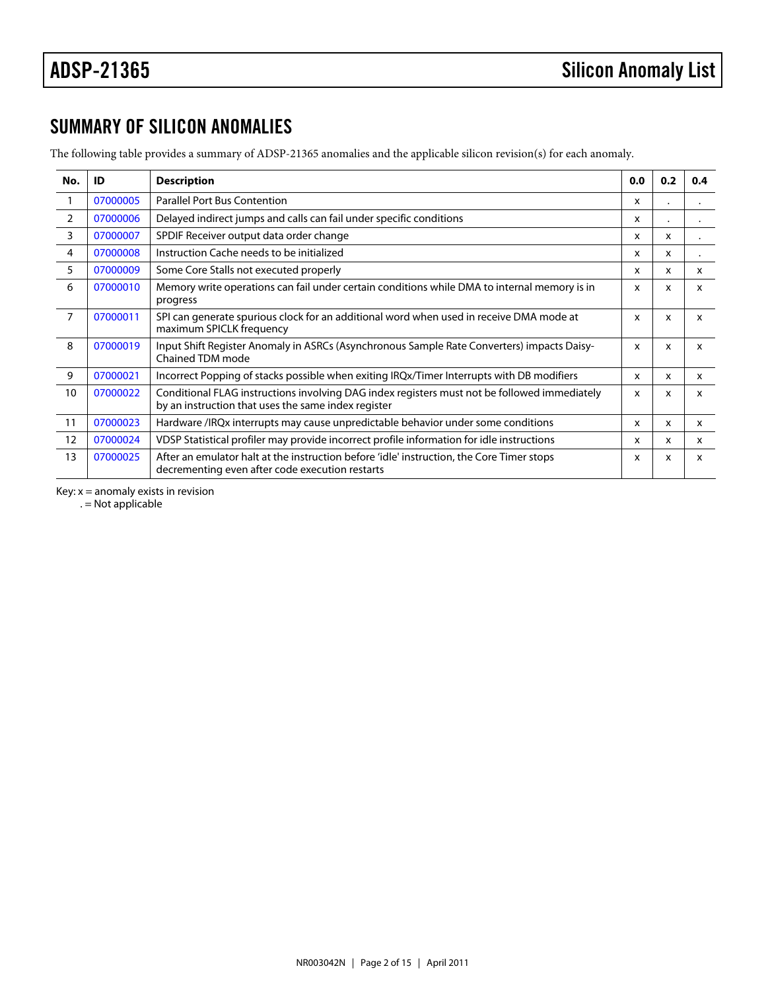# SUMMARY OF SILICON ANOMALIES

The following table provides a summary of ADSP-21365 anomalies and the applicable silicon revision(s) for each anomaly.

<span id="page-1-6"></span><span id="page-1-5"></span><span id="page-1-4"></span><span id="page-1-3"></span><span id="page-1-2"></span><span id="page-1-1"></span><span id="page-1-0"></span>

| No.            | ID       | Description                                                                                                                                         | 0.0          | 0.2            | 0.4 |
|----------------|----------|-----------------------------------------------------------------------------------------------------------------------------------------------------|--------------|----------------|-----|
| $\mathbf{1}$   | 07000005 | <b>Parallel Port Bus Contention</b>                                                                                                                 | x            | $\blacksquare$ | ٠   |
| 2              | 07000006 | Delayed indirect jumps and calls can fail under specific conditions                                                                                 | x            |                |     |
| 3              | 07000007 | SPDIF Receiver output data order change                                                                                                             | x            | x              |     |
| 4              | 07000008 | Instruction Cache needs to be initialized                                                                                                           | x            | x              |     |
| 5              | 07000009 | Some Core Stalls not executed properly                                                                                                              | x            | x              | X   |
| 6              | 07000010 | Memory write operations can fail under certain conditions while DMA to internal memory is in<br>progress                                            | x            | X              | x   |
| $\overline{7}$ | 07000011 | SPI can generate spurious clock for an additional word when used in receive DMA mode at<br>maximum SPICLK frequency                                 | X            | x              | X   |
| 8              | 07000019 | Input Shift Register Anomaly in ASRCs (Asynchronous Sample Rate Converters) impacts Daisy-x<br>Chained TDM mode                                     |              | x              | x   |
| 9              | 07000021 | Incorrect Popping of stacks possible when exiting IRQx/Timer Interrupts with DB modifiers                                                           | x            | x              | X   |
| 10             | 07000022 | Conditional FLAG instructions involving DAG index registers must not be followed immediately<br>by an instruction that uses the same index register | $\mathsf{x}$ | x              | x   |
| 11             | 07000023 | Hardware /IRQx interrupts may cause unpredictable behavior under some conditions                                                                    | x            | x              | X   |
| 12             | 07000024 | VDSP Statistical profiler may provide incorrect profile information for idle instructions                                                           | x            | x              | X   |
| 13             | 07000025 | After an emulator halt at the instruction before 'idle' instruction, the Core Timer stops<br>decrementing even after code execution restarts        | x            | x              | x   |

<span id="page-1-12"></span><span id="page-1-11"></span><span id="page-1-10"></span><span id="page-1-9"></span><span id="page-1-8"></span><span id="page-1-7"></span>Key:  $x =$  anomaly exists in revision

 $. =$  Not applicable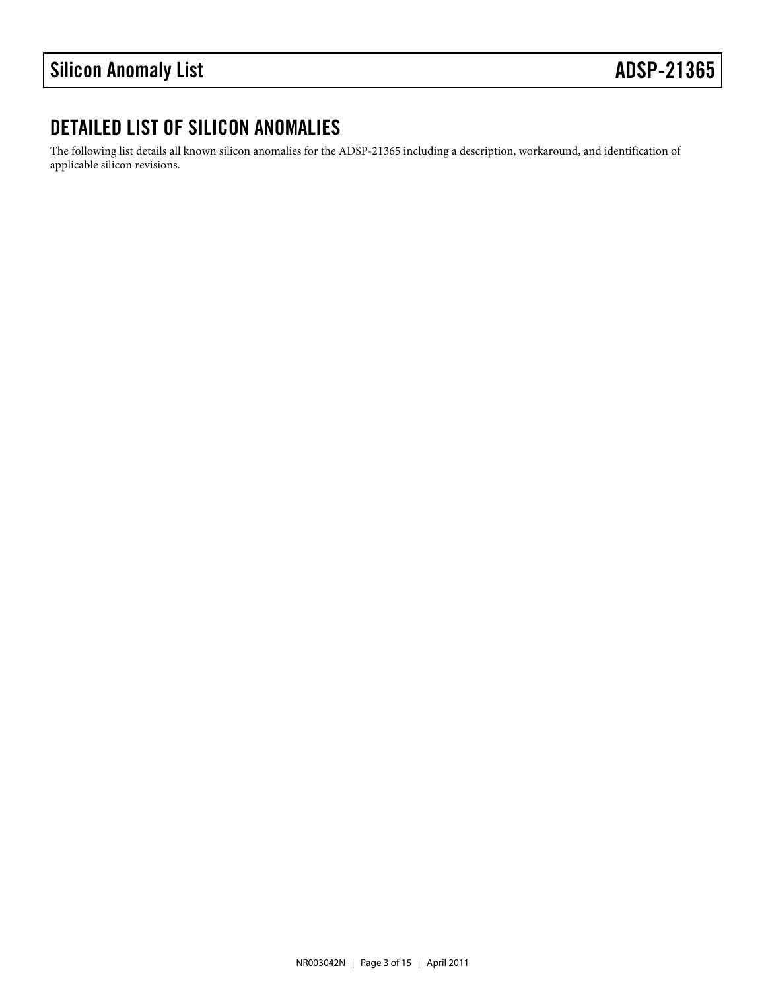# DETAILED LIST OF SILICON ANOMALIES

The following list details all known silicon anomalies for the ADSP-21365 including a description, workaround, and identification of applicable silicon revisions.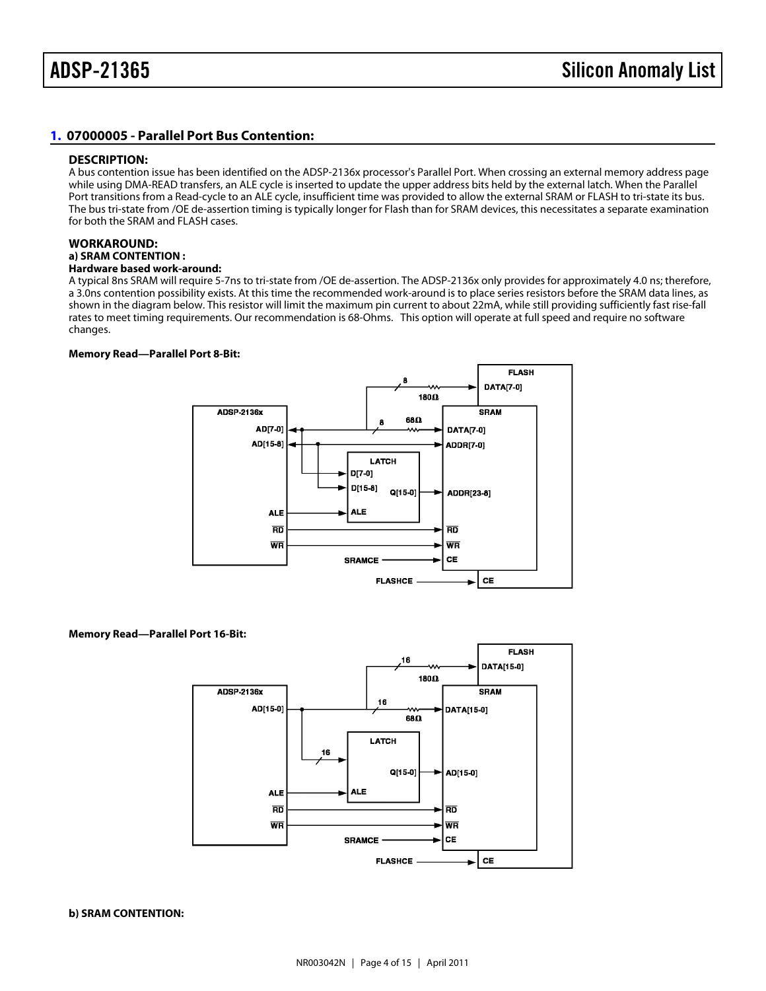# <span id="page-3-0"></span>[1.](#page-1-0) 07000005 - Parallel Port Bus Contention:

#### DESCRIPTION:

A bus contention issue has been identified on the ADSP-2136x processor's Parallel Port. When crossing an external memory address page while using DMA-READ transfers, an ALE cycle is inserted to update the upper address bits held by the external latch. When the Parallel Port transitions from a Read-cycle to an ALE cycle, insufficient time was provided to allow the external SRAM or FLASH to tri-state its bus. The bus tri-state from /OE de-assertion timing is typically longer for Flash than for SRAM devices, this necessitates a separate examination for both the SRAM and FLASH cases.

#### WORKAROUND:

### a) SRAM CONTENTION :

Hardware based work-around:

A typical 8ns SRAM will require 5-7ns to tri-state from /OE de-assertion. The ADSP-2136x only provides for approximately 4.0 ns; therefore, a 3.0ns contention possibility exists. At this time the recommended work-around is to place series resistors before the SRAM data lines, as shown in the diagram below. This resistor will limit the maximum pin current to about 22mA, while still providing sufficiently fast rise-fall rates to meet timing requirements. Our recommendation is 68-Ohms. This option will operate at full speed and require no software changes.

Memory Read—Parallel Port 8-Bit:

Memory Read—Parallel Port 16-Bit:

b) SRAM CONTENTION: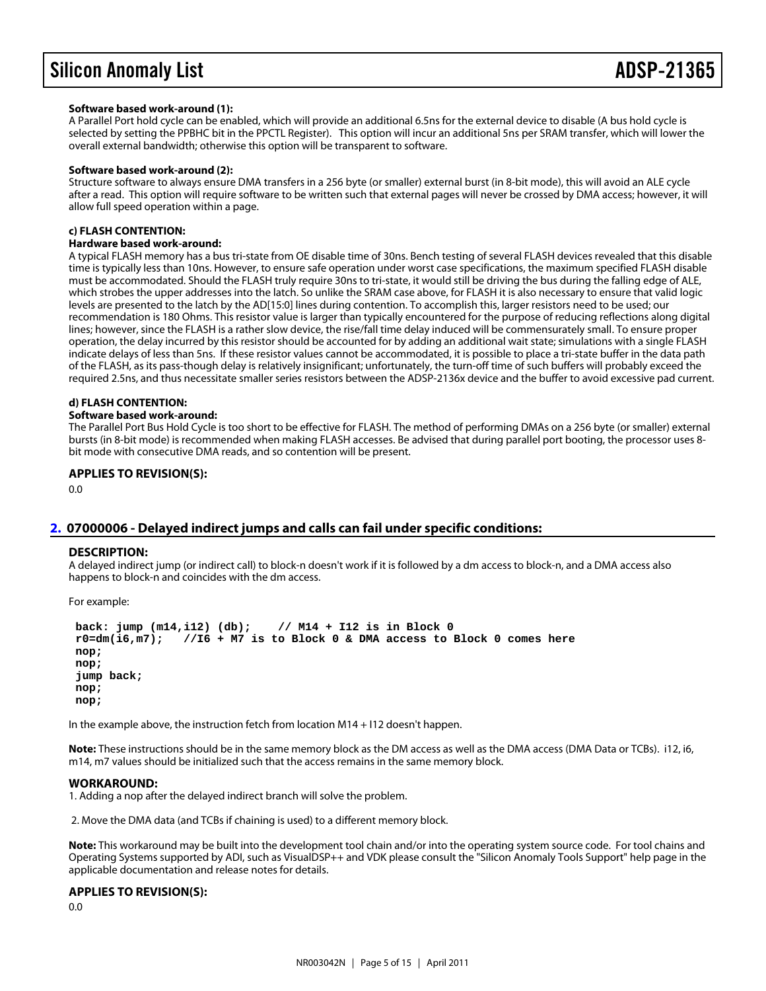#### Software based work-around (1):

A Parallel Port hold cycle can be enabled, which will provide an additional 6.5ns for the external device to disable (A bus hold cycle is selected by setting the PPBHC bit in the PPCTL Register). This option will incur an additional 5ns per SRAM transfer, which will lower the overall external bandwidth; otherwise this option will be transparent to software.

# Software based work-around (2):

Structure software to always ensure DMA transfers in a 256 byte (or smaller) external burst (in 8-bit mode), this will avoid an ALE cycle after a read. This option will require software to be written such that external pages will never be crossed by DMA access; however, it will allow full speed operation within a page.

#### c) FLASH CONTENTION:

#### Hardware based work-around:

A typical FLASH memory has a bus tri-state from OE disable time of 30ns. Bench testing of several FLASH devices revealed that this disable time is typically less than 10ns. However, to ensure safe operation under worst case specifications, the maximum specified FLASH disable must be accommodated. Should the FLASH truly require 30ns to tri-state, it would still be driving the bus during the falling edge of ALE, which strobes the upper addresses into the latch. So unlike the SRAM case above, for FLASH it is also necessary to ensure that valid logic levels are presented to the latch by the AD[15:0] lines during contention. To accomplish this, larger resistors need to be used; our recommendation is 180 Ohms. This resistor value is larger than typically encountered for the purpose of reducing reflections along digital lines; however, since the FLASH is a rather slow device, the rise/fall time delay induced will be commensurately small. To ensure proper operation, the delay incurred by this resistor should be accounted for by adding an additional wait state; simulations with a single FLASH indicate delays of less than 5ns. If these resistor values cannot be accommodated, it is possible to place a tri-state buffer in the data path of the FLASH, as its pass-though delay is relatively insignificant; unfortunately, the turn-off time of such buffers will probably exceed the required 2.5ns, and thus necessitate smaller series resistors between the ADSP-2136x device and the buffer to avoid excessive pad current.

#### d) FLASH CONTENTION:

#### Software based work-around:

The Parallel Port Bus Hold Cycle is too short to be effective for FLASH. The method of performing DMAs on a 256 byte (or smaller) external bursts (in 8-bit mode) is recommended when making FLASH accesses. Be advised that during parallel port booting, the processor uses 8 bit mode with consecutive DMA reads, and so contention will be present.

APPLIES TO REVISION(S): 0.0

# <span id="page-4-0"></span>07000006 - Delayed indirect jumps and calls can fail under specific conditions:

#### DESCRIPTION:

A delayed indirect jump (or indirect call) to block-n doesn't work if it is followed by a dm access to block-n, and a DMA access also happens to block-n and coincides with the dm access.

For example:

 back: jump (m14,i12) (db); // M14 + I12 is in Block 0  $r0=dm(i6,m7);$  //I6 + M7 is to Block 0 & DMA access to Block 0 comes here nop; nop; jump back; nop; nop;

In the example above, the instruction fetch from location M14 + I12 doesn't happen.

Note: These instructions should be in the same memory block as the DM access as well as the DMA access (DMA Data or TCBs). i12, i6, m14, m7 values should be initialized such that the access remains in the same memory block.

#### WORKAROUND:

1. Adding a nop after the delayed indirect branch will solve the problem.

2. Move the DMA data (and TCBs if chaining is used) to a different memory block.

Note: This workaround may be built into the development tool chain and/or into the operating system source code. For tool chains and Operating Systems supported by ADI, such as VisualDSP++ and VDK please consult the "Silicon Anomaly Tools Support" help page in the applicable documentation and release notes for details.

APPLIES TO REVISION(S): 0.0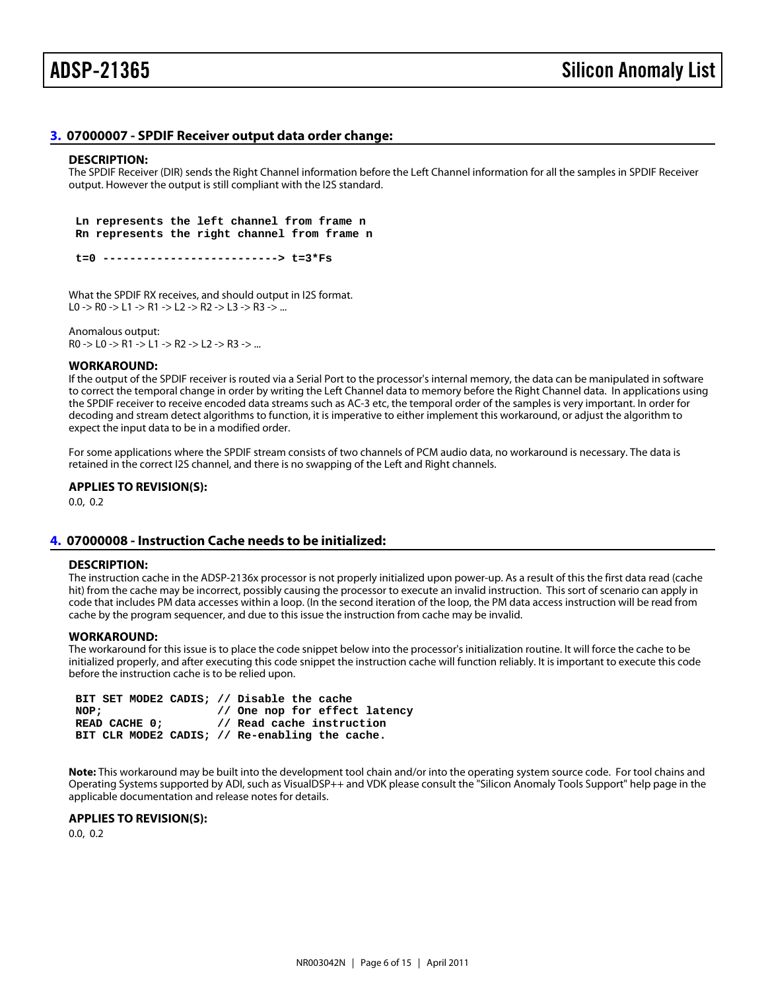# <span id="page-5-0"></span>[3.](#page-1-2) 07000007 - SPDIF Receiver output data order change:

#### DESCRIPTION:

The SPDIF Receiver (DIR) sends the Right Channel information before the Left Channel information for all the samples in SPDIF Receiver output. However the output is still compliant with the I2S standard.

 Ln represents the left channel from frame n Rn represents the right channel from frame n

t=0 --------------------------> t=3\*Fs

What the SPDIF RX receives, and should output in I2S format. L0 -> R0 -> L1 -> R1 -> L2 -> R2 -> L3 -> R3 -> ...

Anomalous output:

R0 -> L0 -> R1 -> L1 -> R2 -> L2 -> R3 -> ...

## WORKAROUND:

If the output of the SPDIF receiver is routed via a Serial Port to the processor's internal memory, the data can be manipulated in software to correct the temporal change in order by writing the Left Channel data to memory before the Right Channel data. In applications using the SPDIF receiver to receive encoded data streams such as AC-3 etc, the temporal order of the samples is very important. In order for decoding and stream detect algorithms to function, it is imperative to either implement this workaround, or adjust the algorithm to expect the input data to be in a modified order.

For some applications where the SPDIF stream consists of two channels of PCM audio data, no workaround is necessary. The data is retained in the correct I2S channel, and there is no swapping of the Left and Right channels.

APPLIES TO REVISION(S): 0.0, 0.2

<span id="page-5-1"></span>[4.](#page-1-3) 07000008 - Instruction Cache needs to be initialized:

#### DESCRIPTION:

The instruction cache in the ADSP-2136x processor is not properly initialized upon power-up. As a result of this the first data read (cache hit) from the cache may be incorrect, possibly causing the processor to execute an invalid instruction. This sort of scenario can apply in code that includes PM data accesses within a loop. (In the second iteration of the loop, the PM data access instruction will be read from cache by the program sequencer, and due to this issue the instruction from cache may be invalid.

#### WORKAROUND:

The workaround for this issue is to place the code snippet below into the processor's initialization routine. It will force the cache to be initialized properly, and after executing this code snippet the instruction cache will function reliably. It is important to execute this code before the instruction cache is to be relied upon.

 BIT SET MODE2 CADIS; // Disable the cache NOP;  $\frac{1}{2}$  One nop for effect latency READ CACHE 0; // Read cache instruction BIT CLR MODE2 CADIS; // Re-enabling the cache.

Note: This workaround may be built into the development tool chain and/or into the operating system source code. For tool chains and Operating Systems supported by ADI, such as VisualDSP++ and VDK please consult the "Silicon Anomaly Tools Support" help page in the applicable documentation and release notes for details.

APPLIES TO REVISION(S):

0.0, 0.2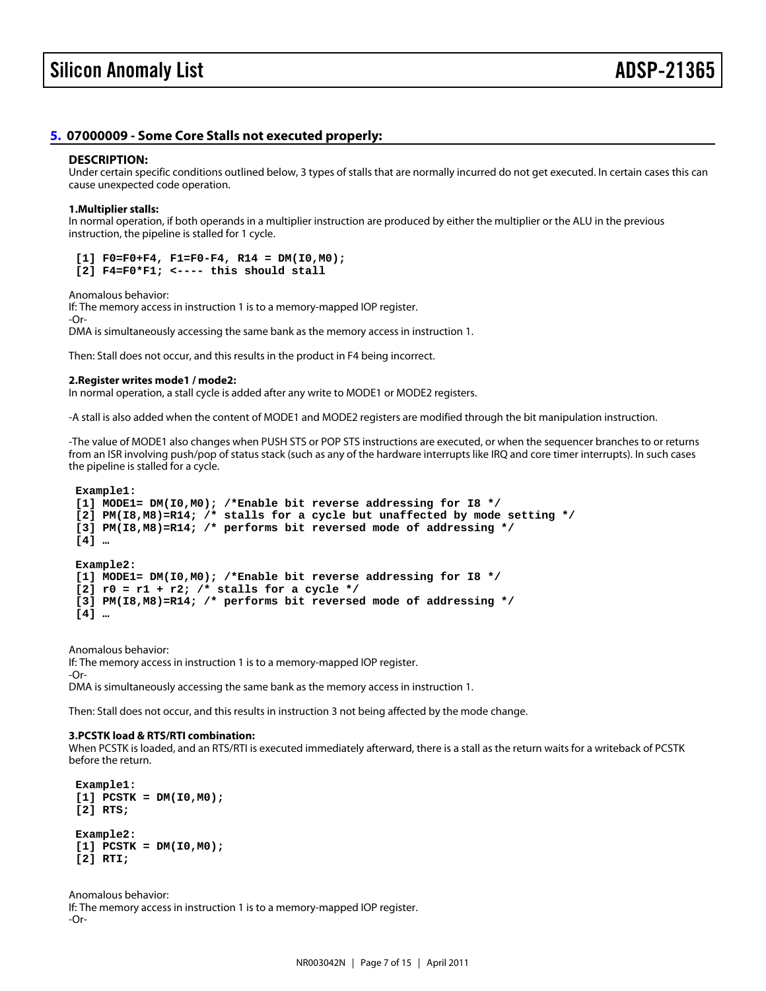# <span id="page-6-0"></span>[5.](#page-1-4) 07000009 - Some Core Stalls not executed properly:

#### DESCRIPTION:

Under certain specific conditions outlined below, 3 types of stalls that are normally incurred do not get executed. In certain cases this can cause unexpected code operation.

1.Multiplier stalls:

In normal operation, if both operands in a multiplier instruction are produced by either the multiplier or the ALU in the previous instruction, the pipeline is stalled for 1 cycle.

 $[1]$  F0=F0+F4, F1=F0-F4, R14 = DM(I0,M0);  $[2]$  F4=F0\*F1; <---- this should stall

Anomalous behavior:

If: The memory access in instruction 1 is to a memory-mapped IOP register. -Or-DMA is simultaneously accessing the same bank as the memory access in instruction 1.

Then: Stall does not occur, and this results in the product in F4 being incorrect.

2.Register writes mode1 / mode2:

In normal operation, a stall cycle is added after any write to MODE1 or MODE2 registers.

-A stall is also added when the content of MODE1 and MODE2 registers are modified through the bit manipulation instruction.

-The value of MODE1 also changes when PUSH STS or POP STS instructions are executed, or when the sequencer branches to or returns from an ISR involving push/pop of status stack (such as any of the hardware interrupts like IRQ and core timer interrupts). In such cases the pipeline is stalled for a cycle.

Example1:

 [1] MODE1= DM(I0,M0); /\*Enable bit reverse addressing for I8 \*/  $[2]$  PM(I8,M8)=R14; /\* stalls for a cycle but unaffected by mode setting \*/ [3] PM(I8,M8)=R14; /\* performs bit reversed mode of addressing \*/ [4] …

Example2:

[1] MODE1= DM(I0,M0); /\*Enable bit reverse addressing for I8 \*/

 $[2]$  r0 = r1 + r2; /\* stalls for a cycle \*/

[3] PM(I8,M8)=R14; /\* performs bit reversed mode of addressing \*/

[4] …

Anomalous behavior:

If: The memory access in instruction 1 is to a memory-mapped IOP register.

-Or-

DMA is simultaneously accessing the same bank as the memory access in instruction 1.

Then: Stall does not occur, and this results in instruction 3 not being affected by the mode change.

3.PCSTK load & RTS/RTI combination:

When PCSTK is loaded, and an RTS/RTI is executed immediately afterward, there is a stall as the return waits for a writeback of PCSTK before the return.

 Example1:  $[1]$  PCSTK = DM( $[0, M0)$ ; [2] RTS;

 Example2:  $[1]$  PCSTK = DM(I0,M0); [2] RTI;

Anomalous behavior: If: The memory access in instruction 1 is to a memory-mapped IOP register. -Or-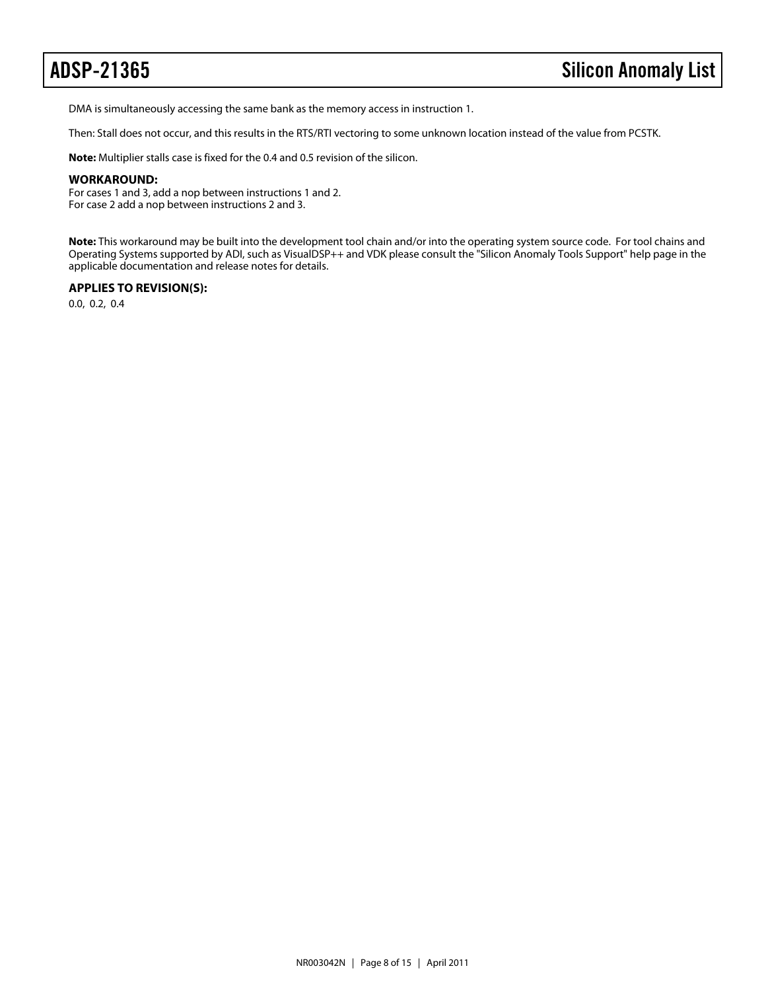DMA is simultaneously accessing the same bank as the memory access in instruction 1.

Then: Stall does not occur, and this results in the RTS/RTI vectoring to some unknown location instead of the value from PCSTK.

**Note:** Multiplier stalls case is fixed for the 0.4 and 0.5 revision of the silicon.

## **WORKAROUND:**

For cases 1 and 3, add a nop between instructions 1 and 2. For case 2 add a nop between instructions 2 and 3.

**Note:** This workaround may be built into the development tool chain and/or into the operating system source code. For tool chains and Operating Systems supported by ADI, such as VisualDSP++ and VDK please consult the "Silicon Anomaly Tools Support" help page in the applicable documentation and release notes for details.

# **APPLIES TO REVISION(S):**

0.0, 0.2, 0.4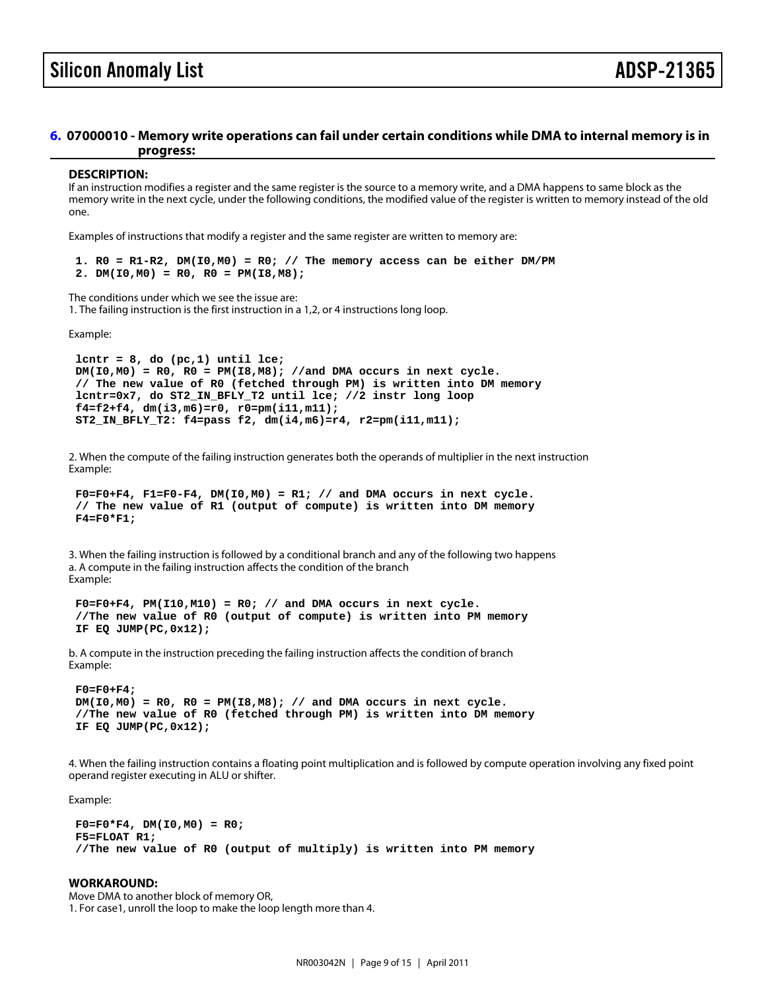# <span id="page-8-0"></span>[6.](#page-1-5) 07000010 - Memory write operations can fail under certain conditions while DMA to internal memory is in progress:

#### DESCRIPTION:

If an instruction modifies a register and the same register is the source to a memory write, and a DMA happens to same block as the memory write in the next cycle, under the following conditions, the modified value of the register is written to memory instead of the old one.

Examples of instructions that modify a register and the same register are written to memory are:

1.  $R0 = R1-R2$ ,  $DM(10, MO) = R0$ ; // The memory access can be either DM/PM 2. DM( $10, M0$ ) = R0, R0 = PM( $18, M8$ );

The conditions under which we see the issue are: 1. The failing instruction is the first instruction in a 1,2, or 4 instructions long loop.

Example:

lcntr =  $8$ , do (pc, 1) until lce;  $DM(10,MO) = RO$ ,  $RO = PM(18,MB)$ ; //and DMA occurs in next cycle. // The new value of R0 (fetched through PM) is written into DM memory lcntr=0x7, do ST2\_IN\_BFLY\_T2 until lce; //2 instr long loop f4=f2+f4, dm(i3,m6)=r0, r0=pm(i11,m11); ST2\_IN\_BFLY\_T2: f4=pass f2, dm(i4,m6)=r4, r2=pm(i11,m11);

2. When the compute of the failing instruction generates both the operands of multiplier in the next instruction Example:

 $F0=F0+F4$ ,  $F1=F0-F4$ ,  $DM(10,MO) = R1$ ; // and  $DMA$  occurs in next cycle. // The new value of R1 (output of compute) is written into DM memory  $F4 = F0*F1;$ 

3. When the failing instruction is followed by a conditional branch and any of the following two happens a. A compute in the failing instruction affects the condition of the branch Example:

 $F0=F0+F4$ ,  $PM(110, M10) = R0$ ; // and DMA occurs in next cycle. //The new value of R0 (output of compute) is written into PM memory IF EQ JUMP(PC,0x12);

b. A compute in the instruction preceding the failing instruction affects the condition of branch Example:

 F0=F0+F4;  $DM(10, M0) = RO$ ,  $RO = PM(18, M8)$ ; // and DMA occurs in next cycle. //The new value of R0 (fetched through PM) is written into DM memory IF EQ JUMP(PC,0x12);

4. When the failing instruction contains a floating point multiplication and is followed by compute operation involving any fixed point operand register executing in ALU or shifter.

Example:

 $F0 = F0*F4$ , DM( $10, MO$ ) = R0; F5=FLOAT R1; //The new value of R0 (output of multiply) is written into PM memory

WORKAROUND: Move DMA to another block of memory OR, 1. For case1, unroll the loop to make the loop length more than 4.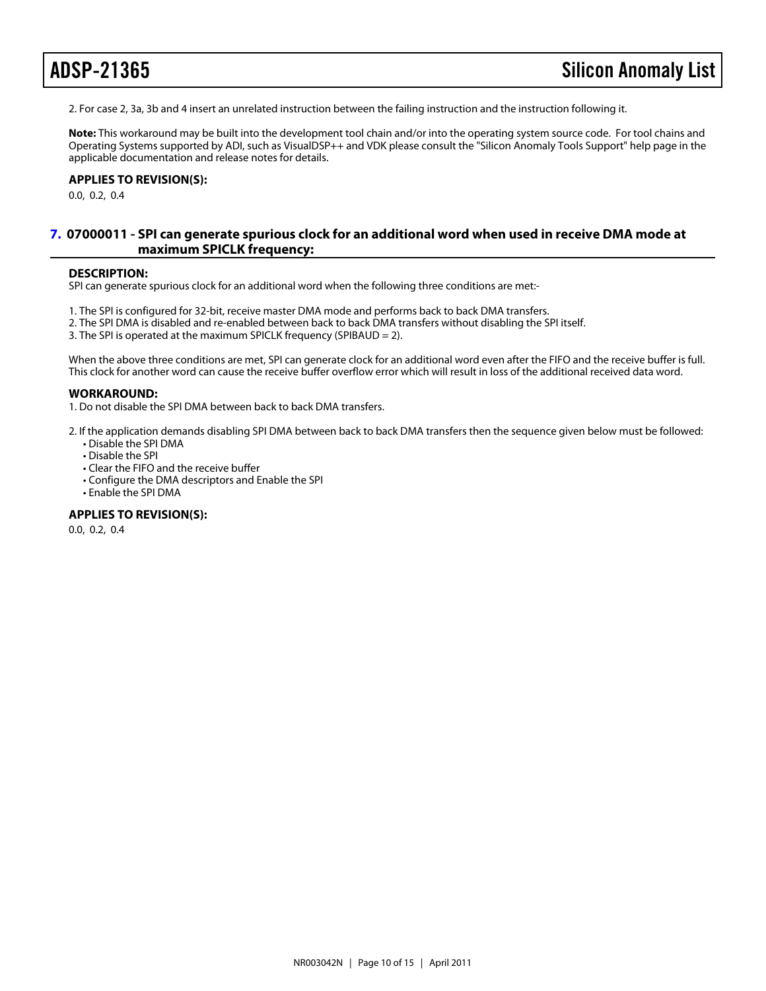2. For case 2, 3a, 3b and 4 insert an unrelated instruction between the failing instruction and the instruction following it.

Note: This workaround may be built into the development tool chain and/or into the operating system source code. For tool chains and Operating Systems supported by ADI, such as VisualDSP++ and VDK please consult the "Silicon Anomaly Tools Support" help page in the applicable documentation and release notes for details.

APPLIES TO REVISION(S): 0.0, 0.2, 0.4

# <span id="page-9-0"></span>[7.](#page-1-6) 07000011 - SPI can generate spurious clock for an additional word when used in receive DMA mode at maximum SPICLK frequency:

#### DESCRIPTION:

SPI can generate spurious clock for an additional word when the following three conditions are met:-

- 1. The SPI is configured for 32-bit, receive master DMA mode and performs back to back DMA transfers.
- 2. The SPI DMA is disabled and re-enabled between back to back DMA transfers without disabling the SPI itself.
- 3. The SPI is operated at the maximum SPICLK frequency (SPIBAUD = 2).

When the above three conditions are met, SPI can generate clock for an additional word even after the FIFO and the receive buffer is full. This clock for another word can cause the receive buffer overflow error which will result in loss of the additional received data word.

#### WORKAROUND:

1. Do not disable the SPI DMA between back to back DMA transfers.

- 2. If the application demands disabling SPI DMA between back to back DMA transfers then the sequence given below must be followed: • Disable the SPI DMA
	- Disable the SPI
	- Clear the FIFO and the receive buffer
	- Configure the DMA descriptors and Enable the SPI
	- Enable the SPI DMA

#### APPLIES TO REVISION(S):

0.0, 0.2, 0.4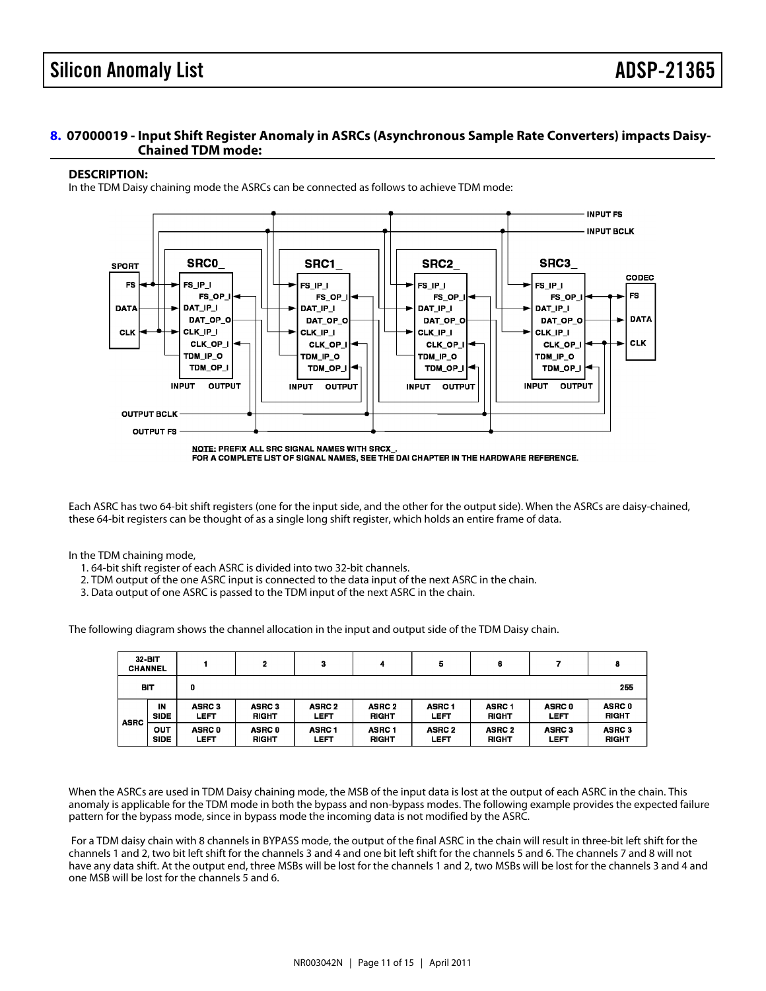# <span id="page-10-0"></span>[8.](#page-1-7) 07000019 - Input Shift Register Anomaly in ASRCs (Asynchronous Sample Rate Converters) impacts Daisy-Chained TDM mode:

### DESCRIPTION:

In the TDM Daisy chaining mode the ASRCs can be connected as follows to achieve TDM mode:

Each ASRC has two 64-bit shift registers (one for the input side, and the other for the output side). When the ASRCs are daisy-chained, these 64-bit registers can be thought of as a single long shift register, which holds an entire frame of data.

In the TDM chaining mode,

- 1. 64-bit shift register of each ASRC is divided into two 32-bit channels.
- 2. TDM output of the one ASRC input is connected to the data input of the next ASRC in the chain.
- 3. Data output of one ASRC is passed to the TDM input of the next ASRC in the chain.

The following diagram shows the channel allocation in the input and output side of the TDM Daisy chain.

When the ASRCs are used in TDM Daisy chaining mode, the MSB of the input data is lost at the output of each ASRC in the chain. This anomaly is applicable for the TDM mode in both the bypass and non-bypass modes. The following example provides the expected failure pattern for the bypass mode, since in bypass mode the incoming data is not modified by the ASRC.

 For a TDM daisy chain with 8 channels in BYPASS mode, the output of the final ASRC in the chain will result in three-bit left shift for the channels 1 and 2, two bit left shift for the channels 3 and 4 and one bit left shift for the channels 5 and 6. The channels 7 and 8 will not have any data shift. At the output end, three MSBs will be lost for the channels 1 and 2, two MSBs will be lost for the channels 3 and 4 and one MSB will be lost for the channels 5 and 6.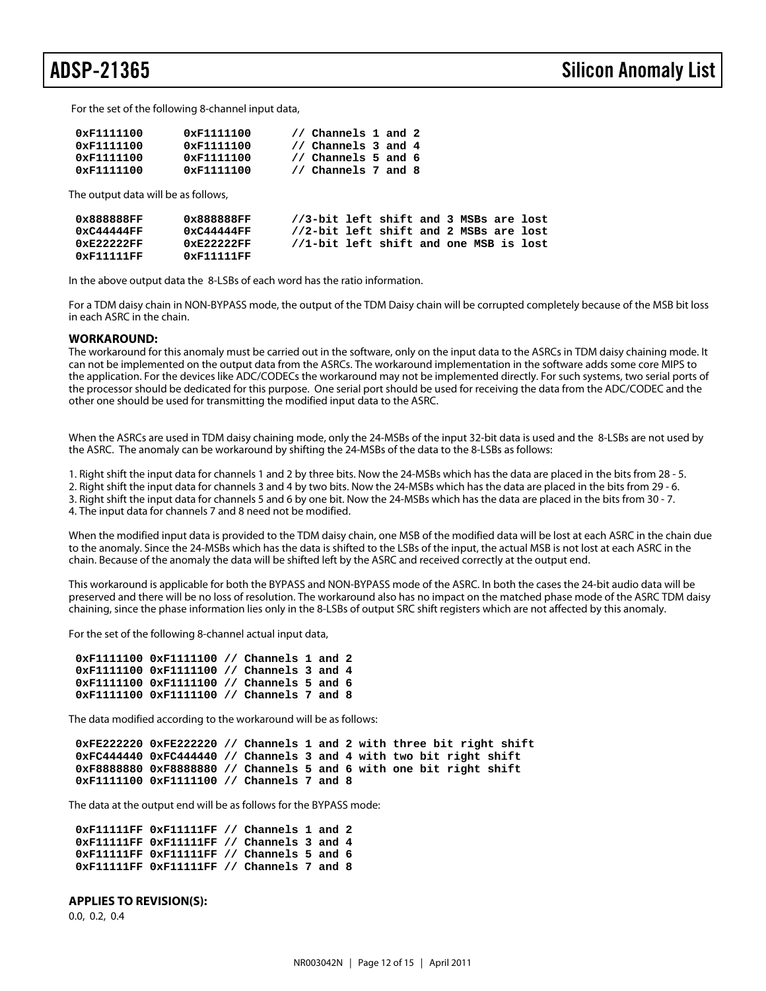For the set of the following 8-channel input data,

| 0xF1111100 | 0xF1111100 | // Channels 1 and 2 |
|------------|------------|---------------------|
| 0xF1111100 | 0xF1111100 | // Channels 3 and 4 |
| 0xF1111100 | 0xF1111100 | // Channels 5 and 6 |
| 0xF1111100 | 0xF1111100 | // Channels 7 and 8 |

The output data will be as follows,

| 0x888888FF    | 0x888888FF    | //3-bit left shift and 3 MSBs are lost |  |  |  |  |
|---------------|---------------|----------------------------------------|--|--|--|--|
| 0xC44444FF    | 0xC44444FF    | //2-bit left shift and 2 MSBs are lost |  |  |  |  |
| $0xE2222F$ FF | $0xE2222F$ FF | //1-bit left shift and one MSB is lost |  |  |  |  |
| 0xF11111FF    | 0xF11111FF    |                                        |  |  |  |  |

In the above output data the 8-LSBs of each word has the ratio information.

For a TDM daisy chain in NON-BYPASS mode, the output of the TDM Daisy chain will be corrupted completely because of the MSB bit loss in each ASRC in the chain.

#### **WORKAROUND:**

The workaround for this anomaly must be carried out in the software, only on the input data to the ASRCs in TDM daisy chaining mode. It can not be implemented on the output data from the ASRCs. The workaround implementation in the software adds some core MIPS to the application. For the devices like ADC/CODECs the workaround may not be implemented directly. For such systems, two serial ports of the processor should be dedicated for this purpose. One serial port should be used for receiving the data from the ADC/CODEC and the other one should be used for transmitting the modified input data to the ASRC.

When the ASRCs are used in TDM daisy chaining mode, only the 24-MSBs of the input 32-bit data is used and the 8-LSBs are not used by the ASRC. The anomaly can be workaround by shifting the 24-MSBs of the data to the 8-LSBs as follows:

1. Right shift the input data for channels 1 and 2 by three bits. Now the 24-MSBs which has the data are placed in the bits from 28 - 5.

2. Right shift the input data for channels 3 and 4 by two bits. Now the 24-MSBs which has the data are placed in the bits from 29 - 6. 3. Right shift the input data for channels 5 and 6 by one bit. Now the 24-MSBs which has the data are placed in the bits from 30 - 7.

4. The input data for channels 7 and 8 need not be modified.

When the modified input data is provided to the TDM daisy chain, one MSB of the modified data will be lost at each ASRC in the chain due to the anomaly. Since the 24-MSBs which has the data is shifted to the LSBs of the input, the actual MSB is not lost at each ASRC in the chain. Because of the anomaly the data will be shifted left by the ASRC and received correctly at the output end.

This workaround is applicable for both the BYPASS and NON-BYPASS mode of the ASRC. In both the cases the 24-bit audio data will be preserved and there will be no loss of resolution. The workaround also has no impact on the matched phase mode of the ASRC TDM daisy chaining, since the phase information lies only in the 8-LSBs of output SRC shift registers which are not affected by this anomaly.

For the set of the following 8-channel actual input data,

```
 0xF1111100 0xF1111100 // Channels 1 and 2
0xF1111100 0xF1111100 // Channels 3 and 4
0xF1111100 0xF1111100 // Channels 5 and 6
0xF1111100 0xF1111100 // Channels 7 and 8
```
The data modified according to the workaround will be as follows:

 **0xFE222220 0xFE222220 // Channels 1 and 2 with three bit right shift 0xFC444440 0xFC444440 // Channels 3 and 4 with two bit right shift 0xF8888880 0xF8888880 // Channels 5 and 6 with one bit right shift 0xF1111100 0xF1111100 // Channels 7 and 8**

The data at the output end will be as follows for the BYPASS mode:

 **0xF11111FF 0xF11111FF // Channels 1 and 2 0xF11111FF 0xF11111FF // Channels 3 and 4 0xF11111FF 0xF11111FF // Channels 5 and 6 0xF11111FF 0xF11111FF // Channels 7 and 8**

#### **APPLIES TO REVISION(S):**

0.0, 0.2, 0.4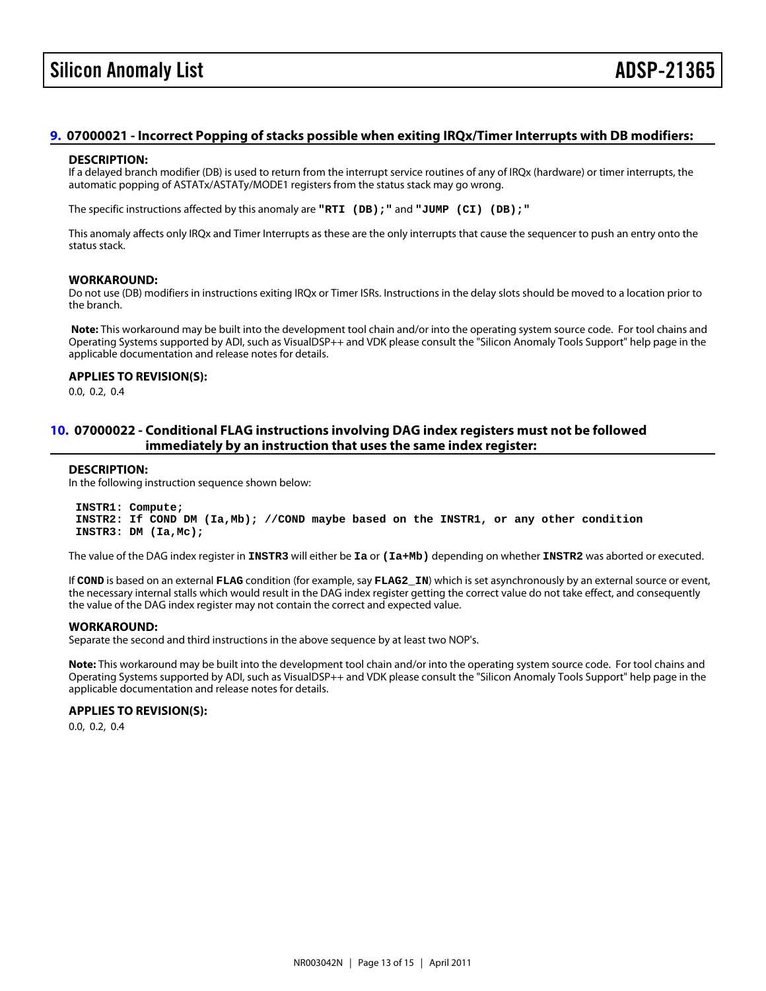# Silicon Anomaly List **ADSP-213** ADSP-213

# <span id="page-12-1"></span>[9.](#page-1-8) 07000021 - Incorrect Popping of stacks possible when exiting IRQx/Timer Interrupts with DB modifiers:

### DESCRIPTION:

If a delayed branch modifier (DB) is used to return from the interrupt service routines of any of IRQx (hardware) or timer interrupts, the automatic popping of ASTATx/ASTATy/MODE1 registers from the status stack may go wrong.

The specific instructions affected by this anomaly are "RTI (DB);" and "JUMP (CI) (DB);"

This anomaly affects only IRQx and Timer Interrupts as these are the only interrupts that cause the sequencer to push an entry onto the status stack.

### WORKAROUND:

Do not use (DB) modifiers in instructions exiting IRQx or Timer ISRs. Instructions in the delay slots should be moved to a location prior to the branch.

Note: This workaround may be built into the development tool chain and/or into the operating system source code. For tool chains and Operating Systems supported by ADI, such as VisualDSP++ and VDK please consult the "Silicon Anomaly Tools Support" help page in the applicable documentation and release notes for details.

APPLIES TO REVISION(S): 0.0, 0.2, 0.4

# <span id="page-12-0"></span>[10.](#page-1-9) 07000022 - Conditional FLAG instructions involving DAG index registers must not be followed immediately by an instruction that uses the same index register:

#### DESCRIPTION:

In the following instruction sequence shown below:

 INSTR1: Compute; INSTR2: If COND DM (Ia,Mb); //COND maybe based on the INSTR1, or any other condition INSTR3: DM (Ia,Mc);

The value of the DAG index register in INSTR3 will either be Ia or (Ia+Mb) depending on whether INSTR2 was aborted or executed.

If COND is based on an external FLAG condition (for example, say FLAG2\_IN) which is set asynchronously by an external source or event, the necessary internal stalls which would result in the DAG index register getting the correct value do not take effect, and consequently the value of the DAG index register may not contain the correct and expected value.

#### WORKAROUND:

Separate the second and third instructions in the above sequence by at least two NOP's.

Note: This workaround may be built into the development tool chain and/or into the operating system source code. For tool chains and Operating Systems supported by ADI, such as VisualDSP++ and VDK please consult the "Silicon Anomaly Tools Support" help page in the applicable documentation and release notes for details.

APPLIES TO REVISION(S): 0.0, 0.2, 0.4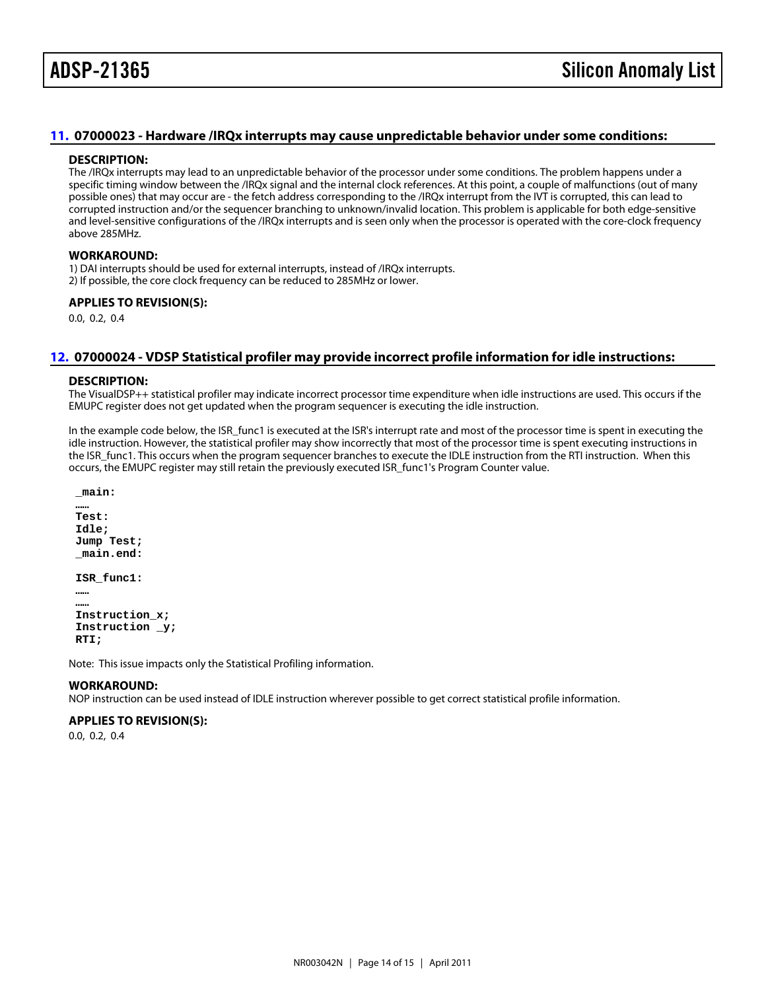# <span id="page-13-1"></span>[11.](#page-1-10) 07000023 - Hardware /IRQx interrupts may cause unpredictable behavior under some conditions:

#### DESCRIPTION:

The /IRQx interrupts may lead to an unpredictable behavior of the processor under some conditions. The problem happens under a specific timing window between the /IRQx signal and the internal clock references. At this point, a couple of malfunctions (out of many possible ones) that may occur are - the fetch address corresponding to the /IRQx interrupt from the IVT is corrupted, this can lead to corrupted instruction and/or the sequencer branching to unknown/invalid location. This problem is applicable for both edge-sensitive and level-sensitive configurations of the /IRQx interrupts and is seen only when the processor is operated with the core-clock frequency above 285MHz.

### WORKAROUND:

1) DAI interrupts should be used for external interrupts, instead of /IRQx interrupts.

2) If possible, the core clock frequency can be reduced to 285MHz or lower.

# APPLIES TO REVISION(S):

0.0, 0.2, 0.4

# <span id="page-13-0"></span>[12.](#page-1-11) 07000024 - VDSP Statistical profiler may provide incorrect profile information for idle instructions:

### DESCRIPTION:

The VisualDSP++ statistical profiler may indicate incorrect processor time expenditure when idle instructions are used. This occurs if the EMUPC register does not get updated when the program sequencer is executing the idle instruction.

In the example code below, the ISR\_func1 is executed at the ISR's interrupt rate and most of the processor time is spent in executing the idle instruction. However, the statistical profiler may show incorrectly that most of the processor time is spent executing instructions in the ISR\_func1. This occurs when the program sequencer branches to execute the IDLE instruction from the RTI instruction. When this occurs, the EMUPC register may still retain the previously executed ISR\_func1's Program Counter value.

main:

 …… Test: Idle; Jump Test; \_main.end:

ISR\_func1:

 …… ……

 Instruction\_x; Instruction \_y; RTI;

Note: This issue impacts only the Statistical Profiling information.

# WORKAROUND:

NOP instruction can be used instead of IDLE instruction wherever possible to get correct statistical profile information.

# APPLIES TO REVISION(S): 0.0, 0.2, 0.4